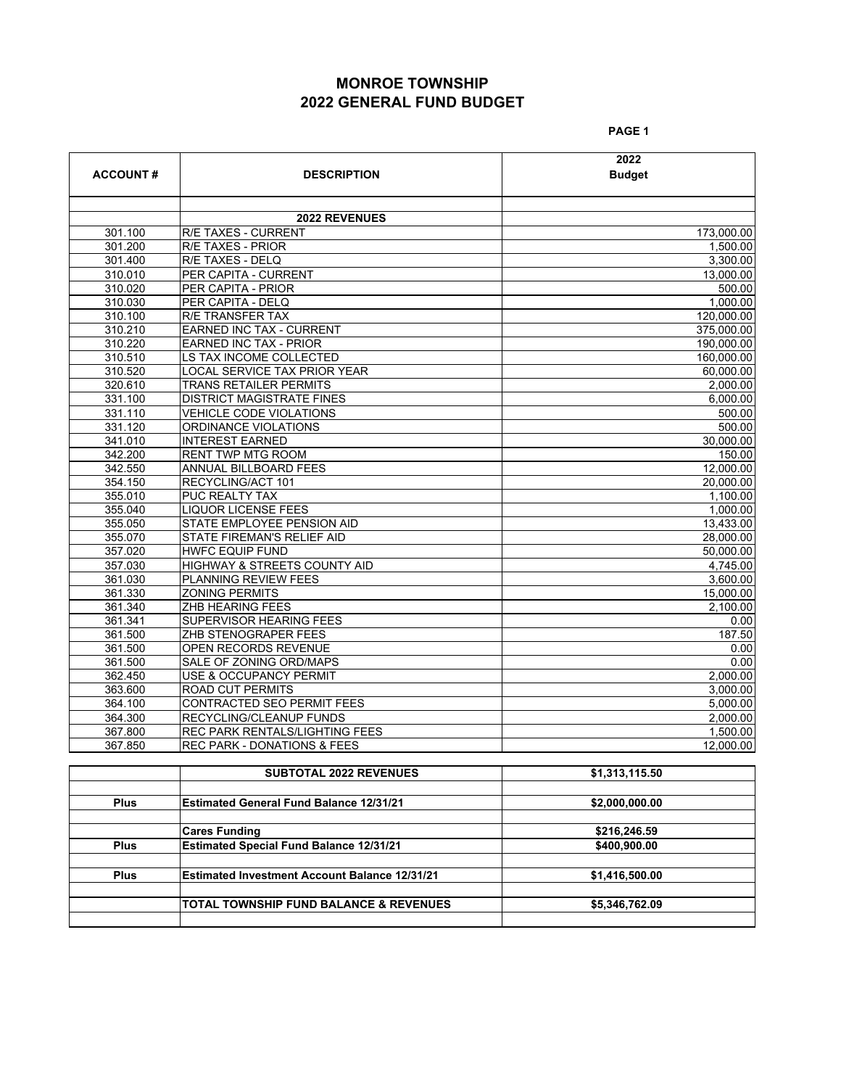# **MONROE TOWNSHIP 2022 GENERAL FUND BUDGET**

**PAGE 1**

|                 |                                        | 2022          |
|-----------------|----------------------------------------|---------------|
| <b>ACCOUNT#</b> | <b>DESCRIPTION</b>                     | <b>Budget</b> |
|                 |                                        |               |
|                 | <b>2022 REVENUES</b>                   |               |
| 301.100         | R/E TAXES - CURRENT                    | 173,000.00    |
| 301.200         | <b>R/E TAXES - PRIOR</b>               | 1,500.00      |
| 301.400         | <b>R/E TAXES - DELQ</b>                | 3.300.00      |
| 310.010         | PER CAPITA - CURRENT                   | 13,000.00     |
| 310.020         | PER CAPITA - PRIOR                     | 500.00        |
| 310.030         | PER CAPITA - DELQ                      | 1.000.00      |
| 310.100         | R/E TRANSFER TAX                       | 120.000.00    |
| 310.210         | <b>EARNED INC TAX - CURRENT</b>        | 375,000.00    |
| 310.220         | <b>EARNED INC TAX - PRIOR</b>          | 190.000.00    |
| 310.510         | LS TAX INCOME COLLECTED                | 160,000.00    |
| 310.520         | LOCAL SERVICE TAX PRIOR YEAR           | 60.000.00     |
| 320.610         | <b>TRANS RETAILER PERMITS</b>          | 2,000.00      |
| 331.100         | <b>DISTRICT MAGISTRATE FINES</b>       | 6,000.00      |
| 331.110         | <b>VEHICLE CODE VIOLATIONS</b>         | 500.00        |
| 331.120         | ORDINANCE VIOLATIONS                   | 500.00        |
| 341.010         | <b>INTEREST EARNED</b>                 | 30.000.00     |
| 342.200         | <b>RENT TWP MTG ROOM</b>               | 150.00        |
| 342.550         | ANNUAL BILLBOARD FEES                  | 12.000.00     |
| 354.150         | RECYCLING/ACT 101                      | 20.000.00     |
| 355.010         | PUC REALTY TAX                         | 1,100.00      |
| 355.040         | <b>LIQUOR LICENSE FEES</b>             | 1.000.00      |
| 355.050         | STATE EMPLOYEE PENSION AID             | 13,433.00     |
| 355.070         | STATE FIREMAN'S RELIEF AID             | 28,000.00     |
| 357.020         | <b>HWFC EQUIP FUND</b>                 | 50.000.00     |
| 357.030         | HIGHWAY & STREETS COUNTY AID           | 4,745.00      |
| 361.030         | <b>PLANNING REVIEW FEES</b>            | 3.600.00      |
| 361.330         | <b>ZONING PERMITS</b>                  | 15,000.00     |
| 361.340         | ZHB HEARING FEES                       | 2,100.00      |
| 361.341         | SUPERVISOR HEARING FEES                | 0.00          |
| 361.500         | ZHB STENOGRAPER FEES                   | 187.50        |
| 361.500         | OPEN RECORDS REVENUE                   | 0.00          |
| 361.500         | SALE OF ZONING ORD/MAPS                | 0.00          |
| 362.450         | USE & OCCUPANCY PERMIT                 | 2,000.00      |
| 363.600         | <b>ROAD CUT PERMITS</b>                | 3.000.00      |
| 364.100         | CONTRACTED SEO PERMIT FEES             | 5,000.00      |
| 364.300         | RECYCLING/CLEANUP FUNDS                | 2,000.00      |
| 367.800         | <b>REC PARK RENTALS/LIGHTING FEES</b>  | 1.500.00      |
| 367.850         | <b>REC PARK - DONATIONS &amp; FEES</b> | 12.000.00     |

|             | <b>SUBTOTAL 2022 REVENUES</b>                        | \$1,313,115.50 |
|-------------|------------------------------------------------------|----------------|
|             |                                                      |                |
| <b>Plus</b> | <b>Estimated General Fund Balance 12/31/21</b>       | \$2,000,000.00 |
|             |                                                      |                |
|             | <b>Cares Funding</b>                                 | \$216,246.59   |
| <b>Plus</b> | <b>Estimated Special Fund Balance 12/31/21</b>       | \$400,900.00   |
|             |                                                      |                |
| <b>Plus</b> | <b>Estimated Investment Account Balance 12/31/21</b> | \$1,416,500.00 |
|             |                                                      |                |
|             | <b>TOTAL TOWNSHIP FUND BALANCE &amp; REVENUES</b>    | \$5,346,762.09 |
|             |                                                      |                |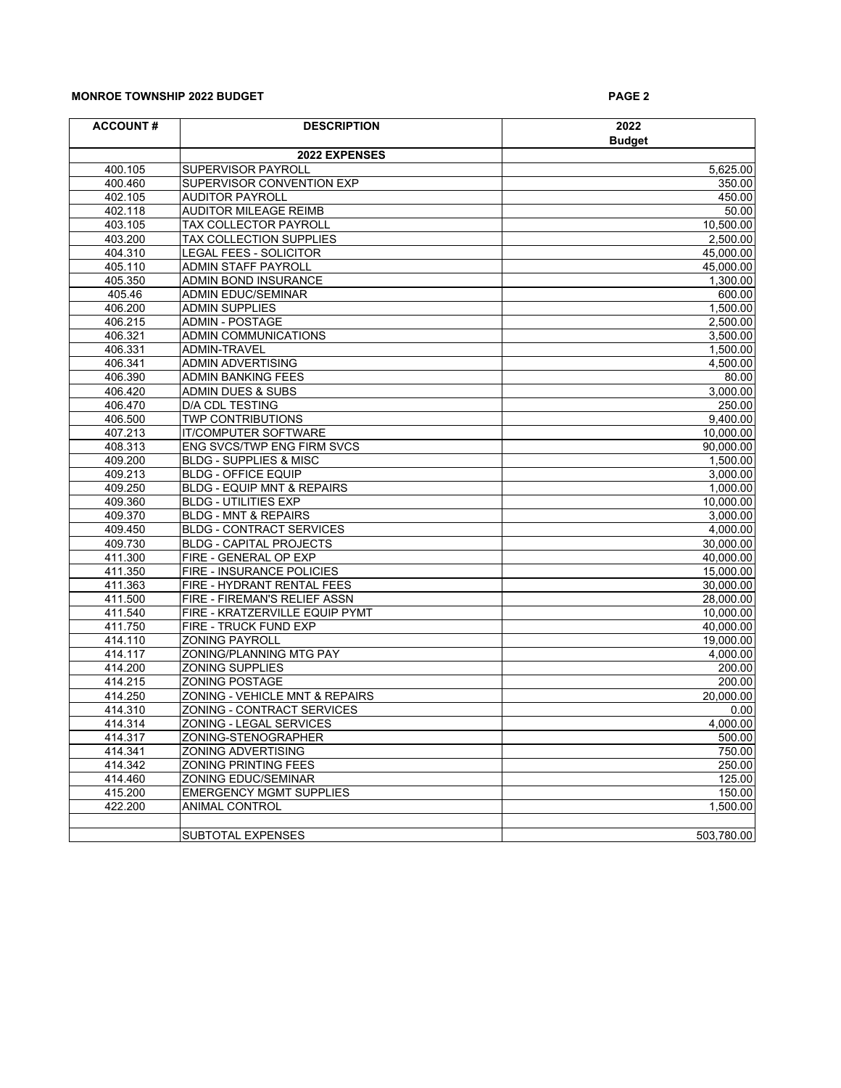## **MONROE TOWNSHIP 2022 BUDGET AND RESIDENT ASSAULT ASSAULT ASSAULT ASSAULT ASSAULT ASSAULT ASSAULT ASSAULT ASSAULT ASSAULT ASSAULT ASSAULT ASSAULT ASSAULT ASSAULT ASSAULT ASSAULT ASSAULT ASSAULT ASSAULT ASSAULT ASSAULT ASSA**

| <b>ACCOUNT#</b> | <b>DESCRIPTION</b>                    | 2022          |
|-----------------|---------------------------------------|---------------|
|                 |                                       | <b>Budget</b> |
|                 | 2022 EXPENSES                         |               |
| 400.105         | SUPERVISOR PAYROLL                    | 5,625.00      |
| 400.460         | SUPERVISOR CONVENTION EXP             | 350.00        |
| 402.105         | <b>AUDITOR PAYROLL</b>                | 450.00        |
| 402.118         | <b>AUDITOR MILEAGE REIMB</b>          | 50.00         |
| 403.105         | TAX COLLECTOR PAYROLL                 | 10,500.00     |
| 403.200         | TAX COLLECTION SUPPLIES               | 2,500.00      |
| 404.310         | <b>LEGAL FEES - SOLICITOR</b>         | 45,000.00     |
| 405.110         | <b>ADMIN STAFF PAYROLL</b>            | 45,000.00     |
| 405.350         | ADMIN BOND INSURANCE                  | 1,300.00      |
| 405.46          | <b>ADMIN EDUC/SEMINAR</b>             | 600.00        |
| 406.200         | <b>ADMIN SUPPLIES</b>                 | 1,500.00      |
| 406.215         | <b>ADMIN - POSTAGE</b>                | 2,500.00      |
| 406.321         | ADMIN COMMUNICATIONS                  | 3,500.00      |
| 406.331         | ADMIN-TRAVEL                          | 1,500.00      |
| 406.341         | <b>ADMIN ADVERTISING</b>              | 4,500.00      |
| 406.390         | ADMIN BANKING FEES                    | 80.00         |
| 406.420         | <b>ADMIN DUES &amp; SUBS</b>          | 3,000.00      |
| 406.470         | <b>D/A CDL TESTING</b>                | 250.00        |
| 406.500         | <b>TWP CONTRIBUTIONS</b>              | 9,400.00      |
| 407.213         | <b>IT/COMPUTER SOFTWARE</b>           | 10,000.00     |
| 408.313         | ENG SVCS/TWP ENG FIRM SVCS            | 90,000.00     |
| 409.200         | <b>BLDG - SUPPLIES &amp; MISC</b>     | 1,500.00      |
| 409.213         | <b>BLDG - OFFICE EQUIP</b>            | 3,000.00      |
| 409.250         | <b>BLDG - EQUIP MNT &amp; REPAIRS</b> | 1,000.00      |
| 409.360         | <b>BLDG - UTILITIES EXP</b>           | 10,000.00     |
| 409.370         | <b>BLDG - MNT &amp; REPAIRS</b>       | 3,000.00      |
| 409.450         | <b>BLDG - CONTRACT SERVICES</b>       | 4,000.00      |
| 409.730         | <b>BLDG - CAPITAL PROJECTS</b>        | 30,000.00     |
| 411.300         | FIRE - GENERAL OP EXP                 | 40,000.00     |
| 411.350         | FIRE - INSURANCE POLICIES             | 15,000.00     |
| 411.363         | FIRE - HYDRANT RENTAL FEES            | 30,000.00     |
| 411.500         | FIRE - FIREMAN'S RELIEF ASSN          | 28,000.00     |
| 411.540         | FIRE - KRATZERVILLE EQUIP PYMT        | 10,000.00     |
| 411.750         | FIRE - TRUCK FUND EXP                 | 40,000.00     |
| 414.110         | <b>ZONING PAYROLL</b>                 | 19,000.00     |
| 414.117         | ZONING/PLANNING MTG PAY               | 4,000.00      |
| 414.200         | <b>ZONING SUPPLIES</b>                | 200.00        |
| 414.215         | <b>ZONING POSTAGE</b>                 | 200.00        |
| 414.250         | ZONING - VEHICLE MNT & REPAIRS        | 20,000.00     |
| 414.310         | ZONING - CONTRACT SERVICES            | 0.00          |
| 414.314         | ZONING - LEGAL SERVICES               | 4,000.00      |
| 414.317         | ZONING-STENOGRAPHER                   | 500.00        |
| 414.341         | <b>ZONING ADVERTISING</b>             | 750.00        |
| 414.342         | <b>ZONING PRINTING FEES</b>           | 250.00        |
| 414.460         | <b>ZONING EDUC/SEMINAR</b>            | 125.00        |
| 415.200         | <b>EMERGENCY MGMT SUPPLIES</b>        | 150.00        |
| 422.200         | <b>ANIMAL CONTROL</b>                 | 1,500.00      |
|                 |                                       |               |
|                 | <b>SUBTOTAL EXPENSES</b>              | 503,780.00    |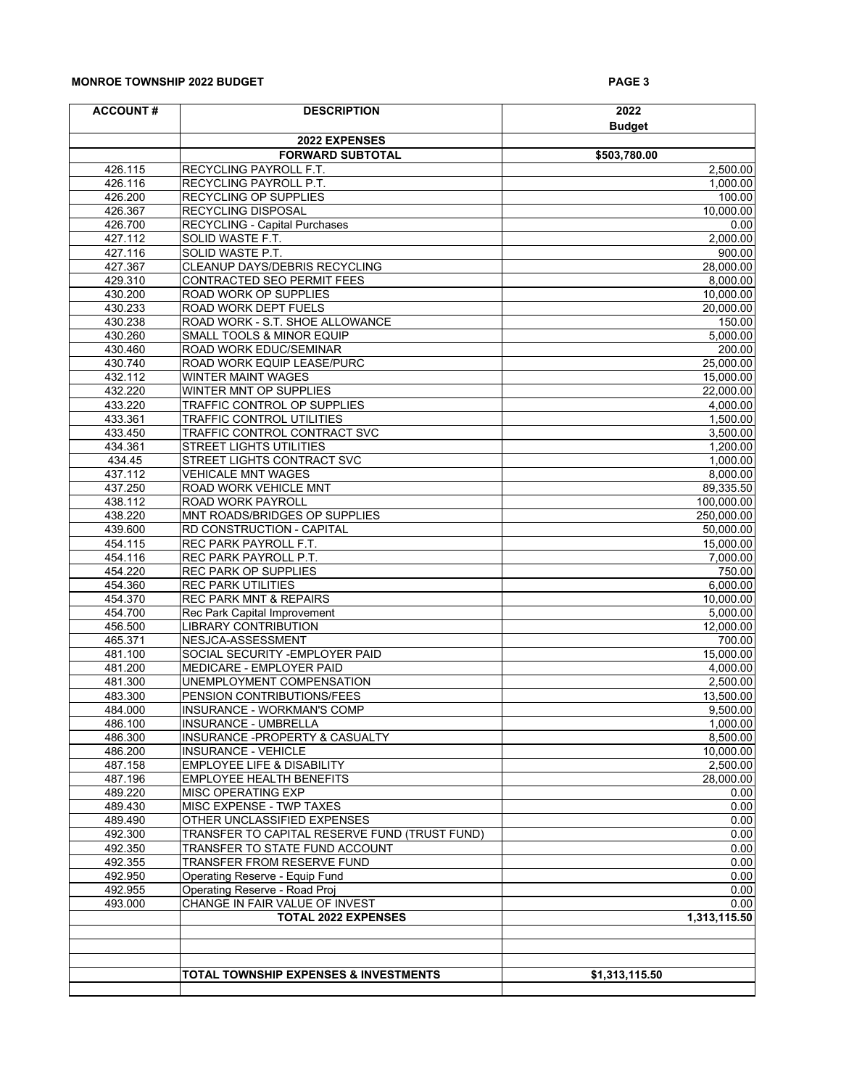### **MONROE TOWNSHIP 2022 BUDGET AND RESIDENT ASSAULT ASSAULT ASSAULT AND RESIDENT ASSAULT ASSAULT ASSAULT ASSAULT**

| <b>ACCOUNT#</b>    | <b>DESCRIPTION</b>                                                           | 2022                   |
|--------------------|------------------------------------------------------------------------------|------------------------|
|                    |                                                                              | <b>Budget</b>          |
|                    | 2022 EXPENSES                                                                |                        |
|                    | <b>FORWARD SUBTOTAL</b>                                                      | \$503,780.00           |
| 426.115            | RECYCLING PAYROLL F.T.                                                       | 2,500.00               |
| 426.116            | RECYCLING PAYROLL P.T.                                                       | 1,000.00               |
| 426.200<br>426.367 | RECYCLING OP SUPPLIES<br>RECYCLING DISPOSAL                                  | 100.00<br>10,000.00    |
| 426.700            | RECYCLING - Capital Purchases                                                | 0.00                   |
| 427.112            | SOLID WASTE F.T.                                                             | 2,000.00               |
| 427.116            | SOLID WASTE P.T.                                                             | 900.00                 |
| 427.367            | CLEANUP DAYS/DEBRIS RECYCLING                                                | 28,000.00              |
| 429.310            | CONTRACTED SEO PERMIT FEES                                                   | 8,000.00               |
| 430.200            | ROAD WORK OP SUPPLIES                                                        | 10,000.00              |
| 430.233            | ROAD WORK DEPT FUELS                                                         | 20,000.00              |
| 430.238            | ROAD WORK - S.T. SHOE ALLOWANCE                                              | 150.00                 |
| 430.260            | SMALL TOOLS & MINOR EQUIP                                                    | 5,000.00               |
| 430.460            | ROAD WORK EDUC/SEMINAR                                                       | 200.00                 |
| 430.740            | ROAD WORK EQUIP LEASE/PURC                                                   | 25,000.00              |
| 432.112            | WINTER MAINT WAGES                                                           | 15,000.00              |
| 432.220            | WINTER MNT OP SUPPLIES                                                       | 22,000.00              |
| 433.220            | TRAFFIC CONTROL OP SUPPLIES                                                  | 4,000.00               |
| 433.361            | <b>TRAFFIC CONTROL UTILITIES</b>                                             | 1,500.00               |
| 433.450            | TRAFFIC CONTROL CONTRACT SVC                                                 | 3,500.00               |
| 434.361            | STREET LIGHTS UTILITIES                                                      | 1,200.00               |
| 434.45             | STREET LIGHTS CONTRACT SVC                                                   | 1,000.00               |
| 437.112            | <b>VEHICALE MNT WAGES</b>                                                    | 8,000.00               |
| 437.250            | ROAD WORK VEHICLE MNT                                                        | 89,335.50              |
| 438.112            | ROAD WORK PAYROLL                                                            | 100,000.00             |
| 438.220            | MNT ROADS/BRIDGES OP SUPPLIES                                                | 250,000.00             |
| 439.600<br>454.115 | RD CONSTRUCTION - CAPITAL<br>REC PARK PAYROLL F.T.                           | 50,000.00<br>15,000.00 |
| 454.116            | REC PARK PAYROLL P.T.                                                        | 7,000.00               |
| 454.220            | REC PARK OP SUPPLIES                                                         | 750.00                 |
| 454.360            | <b>REC PARK UTILITIES</b>                                                    | 6,000.00               |
| 454.370            | <b>REC PARK MNT &amp; REPAIRS</b>                                            | 10,000.00              |
| 454.700            | Rec Park Capital Improvement                                                 | 5,000.00               |
| 456.500            | <b>LIBRARY CONTRIBUTION</b>                                                  | 12,000.00              |
| 465.371            | NESJCA-ASSESSMENT                                                            | 700.00                 |
| 481.100            | SOCIAL SECURITY - EMPLOYER PAID                                              | 15,000.00              |
| 481.200            | MEDICARE - EMPLOYER PAID                                                     | 4,000.00               |
| 481.300            | UNEMPLOYMENT COMPENSATION                                                    | 2,500.00               |
| 483.300            | PENSION CONTRIBUTIONS/FEES                                                   | 13,500.00              |
| 484.000            | INSURANCE - WORKMAN'S COMP                                                   | 9,500.00               |
| 486.100            | <b>INSURANCE - UMBRELLA</b>                                                  | 1,000.00               |
| 486.300            | INSURANCE - PROPERTY & CASUALTY                                              | 8,500.00               |
| 486.200            | <b>INSURANCE - VEHICLE</b>                                                   | 10,000.00              |
| 487.158            | EMPLOYEE LIFE & DISABILITY                                                   | 2,500.00               |
| 487.196            | <b>EMPLOYEE HEALTH BENEFITS</b>                                              | 28,000.00              |
| 489.220            | MISC OPERATING EXP                                                           | 0.00                   |
| 489.430            | MISC EXPENSE - TWP TAXES                                                     | 0.00                   |
| 489.490<br>492.300 | OTHER UNCLASSIFIED EXPENSES<br>TRANSFER TO CAPITAL RESERVE FUND (TRUST FUND) | 0.00<br>0.00           |
| 492.350            | TRANSFER TO STATE FUND ACCOUNT                                               | 0.00                   |
| 492.355            | TRANSFER FROM RESERVE FUND                                                   | 0.00                   |
| 492.950            | Operating Reserve - Equip Fund                                               | 0.00                   |
| 492.955            | Operating Reserve - Road Proj                                                | 0.00                   |
| 493.000            | CHANGE IN FAIR VALUE OF INVEST                                               | 0.00                   |
|                    | <b>TOTAL 2022 EXPENSES</b>                                                   | 1,313,115.50           |
|                    |                                                                              |                        |
|                    |                                                                              |                        |
|                    |                                                                              |                        |
|                    | TOTAL TOWNSHIP EXPENSES & INVESTMENTS                                        | \$1,313,115.50         |
|                    |                                                                              |                        |